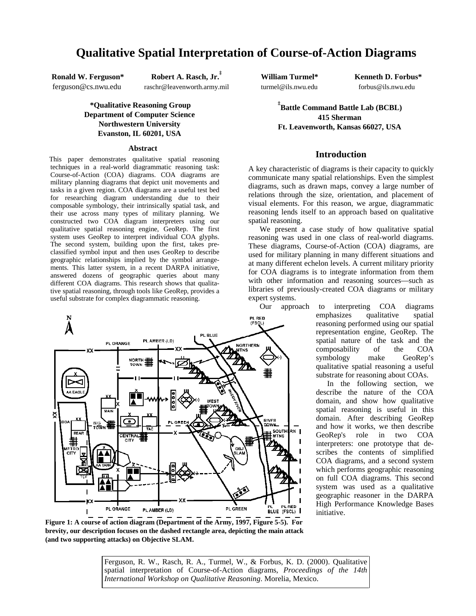# **Qualitative Spatial Interpretation of Course-of-Action Diagrams**

**Ronald W. Ferguson\*** ferguson@cs.nwu.edu

**Robert A. Rasch, Jr. ‡**

raschr@leavenworth.army.mil

# **\*Qualitative Reasoning Group Department of Computer Science Northwestern University Evanston, IL 60201, USA**

#### **Abstract**

This paper demonstrates qualitative spatial reasoning techniques in a real-world diagrammatic reasoning task: Course-of-Action (COA) diagrams. COA diagrams are military planning diagrams that depict unit movements and tasks in a given region. COA diagrams are a useful test bed for researching diagram understanding due to their composable symbology, their intrinsically spatial task, and their use across many types of military planning. We constructed two COA diagram interpreters using our qualitative spatial reasoning engine, GeoRep. The first system uses GeoRep to interpret individual COA glyphs. The second system, building upon the first, takes preclassified symbol input and then uses GeoRep to describe geographic relationships implied by the symbol arrangements. This latter system, in a recent DARPA initiative, answered dozens of geographic queries about many different COA diagrams. This research shows that qualitative spatial reasoning, through tools like GeoRep, provides a useful substrate for complex diagrammatic reasoning.



**William Turmel\*** turmel@ils.nwu.edu **Kenneth D. Forbus\*** forbus@ils.nwu.edu

**‡ Battle Command Battle Lab (BCBL) 415 Sherman Ft. Leavenworth, Kansas 66027, USA**

# **Introduction**

A key characteristic of diagrams is their capacity to quickly communicate many spatial relationships. Even the simplest diagrams, such as drawn maps, convey a large number of relations through the size, orientation, and placement of visual elements. For this reason, we argue, diagrammatic reasoning lends itself to an approach based on qualitative spatial reasoning.

We present a case study of how qualitative spatial reasoning was used in one class of real-world diagrams. These diagrams, Course-of-Action (COA) diagrams, are used for military planning in many different situations and at many different echelon levels. A current military priority for COA diagrams is to integrate information from them with other information and reasoning sources—such as libraries of previously-created COA diagrams or military expert systems.

Our approach to interpreting COA diagrams emphasizes qualitative spatial reasoning performed using our spatial representation engine, GeoRep. The spatial nature of the task and the composability of the COA symbology make GeoRep's qualitative spatial reasoning a useful substrate for reasoning about COAs.

In the following section, we describe the nature of the COA domain, and show how qualitative spatial reasoning is useful in this domain. After describing GeoRep and how it works, we then describe GeoRep's role in two COA interpreters: one prototype that describes the contents of simplified COA diagrams, and a second system which performs geographic reasoning on full COA diagrams. This second system was used as a qualitative geographic reasoner in the DARPA High Performance Knowledge Bases initiative.

**Figure 1: A course of action diagram (Department of the Army, 1997, Figure 5-5). For brevity, our description focuses on the dashed rectangle area, depicting the main attack (and two supporting attacks) on Objective SLAM.**

Ferguson, R. W., Rasch, R. A., Turmel, W., & Forbus, K. D. (2000). Qualitative spatial interpretation of Course-of-Action diagrams, *Proceedings of the 14th International Workshop on Qualitative Reasoning*. Morelia, Mexico.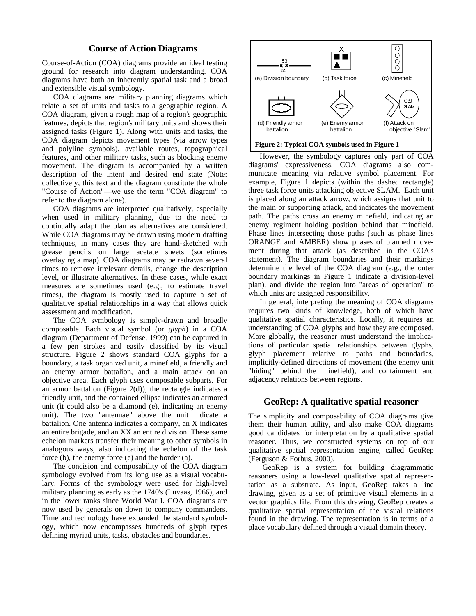# **Course of Action Diagrams**

Course-of-Action (COA) diagrams provide an ideal testing ground for research into diagram understanding. COA diagrams have both an inherently spatial task and a broad and extensible visual symbology.

COA diagrams are military planning diagrams which relate a set of units and tasks to a geographic region. A COA diagram, given a rough map of a region's geographic features, depicts that region's military units and shows their assigned tasks (Figure 1). Along with units and tasks, the COA diagram depicts movement types (via arrow types and polyline symbols), available routes, topographical features, and other military tasks, such as blocking enemy movement. The diagram is accompanied by a written description of the intent and desired end state (Note: collectively, this text and the diagram constitute the whole "Course of Action"—we use the term "COA diagram" to refer to the diagram alone).

COA diagrams are interpreted qualitatively, especially when used in military planning, due to the need to continually adapt the plan as alternatives are considered. While COA diagrams may be drawn using modern drafting techniques, in many cases they are hand-sketched with grease pencils on large acetate sheets (sometimes overlaying a map). COA diagrams may be redrawn several times to remove irrelevant details, change the description level, or illustrate alternatives. In these cases, while exact measures are sometimes used (e.g., to estimate travel times), the diagram is mostly used to capture a set of qualitative spatial relationships in a way that allows quick assessment and modification.

The COA symbology is simply-drawn and broadly composable. Each visual symbol (or *glyph*) in a COA diagram (Department of Defense, 1999) can be captured in a few pen strokes and easily classified by its visual structure. Figure 2 shows standard COA glyphs for a boundary, a task organized unit, a minefield, a friendly and an enemy armor battalion, and a main attack on an objective area. Each glyph uses composable subparts. For an armor battalion (Figure  $2(d)$ ), the rectangle indicates a friendly unit, and the contained ellipse indicates an armored unit (it could also be a diamond (e), indicating an enemy unit). The two "antennae" above the unit indicate a battalion. One antenna indicates a company, an X indicates an entire brigade, and an XX an entire division. These same echelon markers transfer their meaning to other symbols in analogous ways, also indicating the echelon of the task force (b), the enemy force (e) and the border (a).

The concision and composability of the COA diagram symbology evolved from its long use as a visual vocabulary. Forms of the symbology were used for high-level military planning as early as the 1740's (Luvaas, 1966), and in the lower ranks since World War I. COA diagrams are now used by generals on down to company commanders. Time and technology have expanded the standard symbology, which now encompasses hundreds of glyph types defining myriad units, tasks, obstacles and boundaries.



However, the symbology captures only part of COA diagrams' expressiveness. COA diagrams also communicate meaning via relative symbol placement. For example, Figure 1 depicts (within the dashed rectangle) three task force units attacking objective SLAM. Each unit is placed along an attack arrow, which assigns that unit to the main or supporting attack, and indicates the movement path. The paths cross an enemy minefield, indicating an enemy regiment holding position behind that minefield. Phase lines intersecting those paths (such as phase lines ORANGE and AMBER) show phases of planned movement during that attack (as described in the COA's statement). The diagram boundaries and their markings determine the level of the COA diagram (e.g., the outer boundary markings in Figure 1 indicate a division-level plan), and divide the region into "areas of operation" to which units are assigned responsibility.

In general, interpreting the meaning of COA diagrams requires two kinds of knowledge, both of which have qualitative spatial characteristics. Locally, it requires an understanding of COA glyphs and how they are composed. More globally, the reasoner must understand the implications of particular spatial relationships between glyphs, glyph placement relative to paths and boundaries, implicitly-defined directions of movement (the enemy unit "hiding" behind the minefield), and containment and adjacency relations between regions.

### **GeoRep: A qualitative spatial reasoner**

The simplicity and composability of COA diagrams give them their human utility, and also make COA diagrams good candidates for interpretation by a qualitative spatial reasoner. Thus, we constructed systems on top of our qualitative spatial representation engine, called GeoRep (Ferguson & Forbus, 2000).

GeoRep is a system for building diagrammatic reasoners using a low-level qualitative spatial representation as a substrate. As input, GeoRep takes a line drawing, given as a set of primitive visual elements in a vector graphics file. From this drawing, GeoRep creates a qualitative spatial representation of the visual relations found in the drawing. The representation is in terms of a place vocabulary defined through a visual domain theory.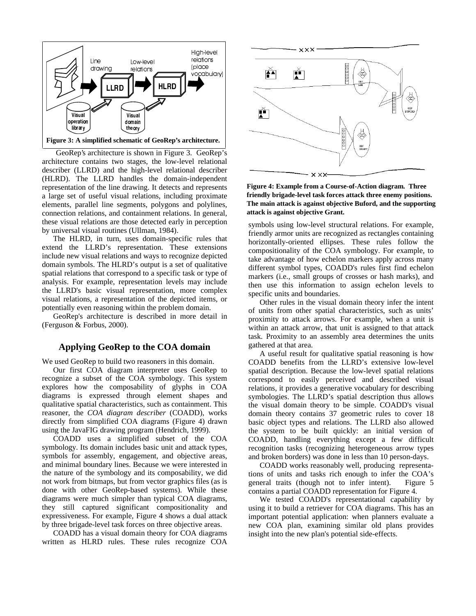

GeoRep's architecture is shown in Figure 3. GeoRep's architecture contains two stages, the low-level relational describer (LLRD) and the high-level relational describer (HLRD). The LLRD handles the domain-independent representation of the line drawing. It detects and represents a large set of useful visual relations, including proximate elements, parallel line segments, polygons and polylines, connection relations, and containment relations. In general, these visual relations are those detected early in perception by universal visual routines (Ullman, 1984).

The HLRD, in turn, uses domain-specific rules that extend the LLRD's representation. These extensions include new visual relations and ways to recognize depicted domain symbols. The HLRD's output is a set of qualitative spatial relations that correspond to a specific task or type of analysis. For example, representation levels may include the LLRD's basic visual representation, more complex visual relations, a representation of the depicted items, or potentially even reasoning within the problem domain.

GeoRep's architecture is described in more detail in (Ferguson & Forbus, 2000).

## **Applying GeoRep to the COA domain**

We used GeoRep to build two reasoners in this domain.

Our first COA diagram interpreter uses GeoRep to recognize a subset of the COA symbology. This system explores how the composability of glyphs in COA diagrams is expressed through element shapes and qualitative spatial characteristics, such as containment. This reasoner, the *COA diagram describer* (COADD), works directly from simplified COA diagrams (Figure 4) drawn using the JavaFIG drawing program (Hendrich, 1999).

COADD uses a simplified subset of the COA symbology. Its domain includes basic unit and attack types, symbols for assembly, engagement, and objective areas, and minimal boundary lines. Because we were interested in the nature of the symbology and its composability, we did not work from bitmaps, but from vector graphics files (as is done with other GeoRep-based systems). While these diagrams were much simpler than typical COA diagrams, they still captured significant compositionality and expressiveness. For example, Figure 4 shows a dual attack by three brigade-level task forces on three objective areas.

COADD has a visual domain theory for COA diagrams written as HLRD rules. These rules recognize COA



**Figure 4: Example from a Course-of-Action diagram. Three friendly brigade-level task forces attack three enemy positions. The main attack is against objective Buford, and the supporting attack is against objective Grant.**

symbols using low-level structural relations. For example, friendly armor units are recognized as rectangles containing horizontally-oriented ellipses. These rules follow the compositionality of the COA symbology. For example, to take advantage of how echelon markers apply across many different symbol types, COADD's rules first find echelon markers (i.e., small groups of crosses or hash marks), and then use this information to assign echelon levels to specific units and boundaries.

Other rules in the visual domain theory infer the intent of units from other spatial characteristics, such as units' proximity to attack arrows. For example, when a unit is within an attack arrow, that unit is assigned to that attack task. Proximity to an assembly area determines the units gathered at that area.

A useful result for qualitative spatial reasoning is how COADD benefits from the LLRD's extensive low-level spatial description. Because the low-level spatial relations correspond to easily perceived and described visual relations, it provides a generative vocabulary for describing symbologies. The LLRD's spatial description thus allows the visual domain theory to be simple. COADD's visual domain theory contains 37 geometric rules to cover 18 basic object types and relations. The LLRD also allowed the system to be built quickly: an initial version of COADD, handling everything except a few difficult recognition tasks (recognizing heterogeneous arrow types and broken borders) was done in less than 10 person-days.

COADD works reasonably well, producing representations of units and tasks rich enough to infer the COA's general traits (though not to infer intent). Figure 5 contains a partial COADD representation for Figure 4.

We tested COADD's representational capability by using it to build a retriever for COA diagrams. This has an important potential application: when planners evaluate a new COA plan, examining similar old plans provides insight into the new plan's potential side-effects.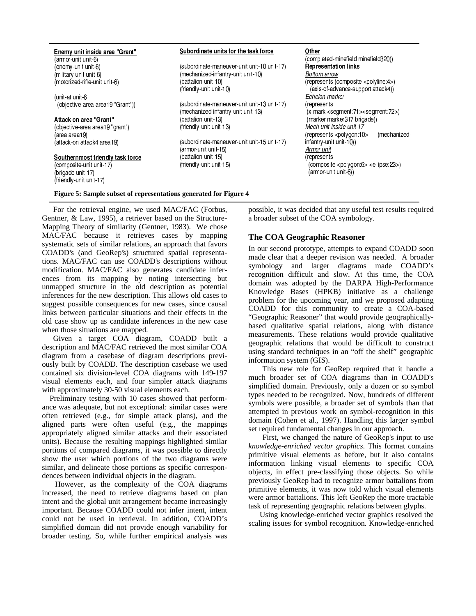| Enemy unit inside area "Grant"   | Subordinate units for the task force        | Other                                                         |
|----------------------------------|---------------------------------------------|---------------------------------------------------------------|
| (armor-unit unit-6)              |                                             | (completed-minefield minefield320))                           |
| (enemy-unit unit-6)              | (subordinate-maneuver-unit unit-10 unit-17) | <b>Representation links</b>                                   |
| (military-unit unit-6)           | (mechanized-infantry-unit unit-10)          | Bottom arrow                                                  |
| (motorized-rifle-unit unit-6)    | (battalion unit-10)                         | (represents (composite <polyline:4>)</polyline:4>             |
|                                  | (friendly-unit unit-10)                     | (axis-of-advance-support attack4))                            |
| (unit-at unit-6                  |                                             | Echelon marker                                                |
| (objective-area area19 "Grant")) | (subordinate-maneuver-unit unit-13 unit-17) | (represents                                                   |
|                                  | (mechanized-infantry-unit unit-13)          | (x-mark <segment:71><segment:72>)</segment:72></segment:71>   |
| Attack on area "Grant"           | (battalion unit-13)                         | (marker marker317 brigade))                                   |
| (objective-area area19 "grant")  | (friendly-unit unit-13)                     | Mech unit inside unit-17                                      |
| (area area19)                    |                                             | (mechanized-<br>(represents <polygon:10></polygon:10>         |
| (attack-on attack4 area19)       | (subordinate-maneuver-unit unit-15 unit-17) | infantry-unit unit-10))                                       |
|                                  | (armor-unit unit-15)                        | Armor unit                                                    |
| Southernmost friendly task force | (battalion unit-15)                         | (represents                                                   |
| (composite-unit unit-17)         | (friendly-unit unit-15)                     | (composite <polygon:6> <ellipse:23>)</ellipse:23></polygon:6> |
| (brigade unit-17)                |                                             | (armor-unit unit-6))                                          |
| (friendly-unit unit-17)          |                                             |                                                               |

For the retrieval engine, we used MAC/FAC (Forbus, Gentner, & Law, 1995), a retriever based on the Structure-Mapping Theory of similarity (Gentner, 1983). We chose MAC/FAC because it retrieves cases by mapping systematic sets of similar relations, an approach that favors COADD's (and GeoRep's) structured spatial representations. MAC/FAC can use COADD's descriptions without modification. MAC/FAC also generates candidate inferences from its mapping by noting intersecting but unmapped structure in the old description as potential inferences for the new description. This allows old cases to suggest possible consequences for new cases, since causal links between particular situations and their effects in the old case show up as candidate inferences in the new case when those situations are mapped.

Given a target COA diagram, COADD built a description and MAC/FAC retrieved the most similar COA diagram from a casebase of diagram descriptions previously built by COADD. The description casebase we used contained six division-level COA diagrams with 149-197 visual elements each, and four simpler attack diagrams with approximately 30-50 visual elements each.

Preliminary testing with 10 cases showed that performance was adequate, but not exceptional: similar cases were often retrieved (e.g., for simple attack plans), and the aligned parts were often useful (e.g., the mappings appropriately aligned similar attacks and their associated units). Because the resulting mappings highlighted similar portions of compared diagrams, it was possible to directly show the user which portions of the two diagrams were similar, and delineate those portions as specific correspondences between individual objects in the diagram.

However, as the complexity of the COA diagrams increased, the need to retrieve diagrams based on plan intent and the global unit arrangement became increasingly important. Because COADD could not infer intent, intent could not be used in retrieval. In addition, COADD's simplified domain did not provide enough variability for broader testing. So, while further empirical analysis was

possible, it was decided that any useful test results required a broader subset of the COA symbology.

# **The COA Geographic Reasoner**

In our second prototype, attempts to expand COADD soon made clear that a deeper revision was needed. A broader symbology and larger diagrams made COADD's recognition difficult and slow. At this time, the COA domain was adopted by the DARPA High-Performance Knowledge Bases (HPKB) initiative as a challenge problem for the upcoming year, and we proposed adapting COADD for this community to create a COA-based "Geographic Reasoner" that would provide geographicallybased qualitative spatial relations, along with distance measurements. These relations would provide qualitative geographic relations that would be difficult to construct using standard techniques in an "off the shelf" geographic information system (GIS).

This new role for GeoRep required that it handle a much broader set of COA diagrams than in COADD's simplified domain. Previously, only a dozen or so symbol types needed to be recognized. Now, hundreds of different symbols were possible, a broader set of symbols than that attempted in previous work on symbol-recognition in this domain (Cohen et al., 1997). Handling this larger symbol set required fundamental changes in our approach.

First, we changed the nature of GeoRep's input to use *knowledge-enriched vector graphics*. This format contains primitive visual elements as before, but it also contains information linking visual elements to specific COA objects, in effect pre-classifying those objects. So while previously GeoRep had to recognize armor battalions from primitive elements, it was now told which visual elements were armor battalions. This left GeoRep the more tractable task of representing geographic relations between glyphs.

Using knowledge-enriched vector graphics resolved the scaling issues for symbol recognition. Knowledge-enriched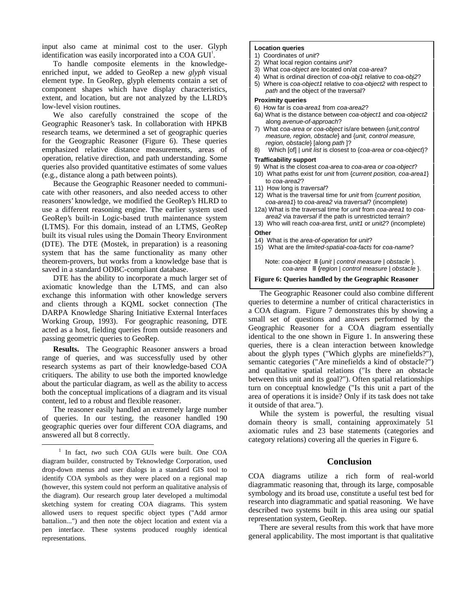input also came at minimal cost to the user. Glyph identification was easily incorporated into a COA GUI<sup>1</sup>.

To handle composite elements in the knowledgeenriched input, we added to GeoRep a new *glyph* visual element type. In GeoRep, glyph elements contain a set of component shapes which have display characteristics, extent, and location, but are not analyzed by the LLRD's low-level vision routines.

We also carefully constrained the scope of the Geographic Reasoner's task. In collaboration with HPKB research teams, we determined a set of geographic queries for the Geographic Reasoner (Figure 6). These queries emphasized relative distance measurements, areas of operation, relative direction, and path understanding. Some queries also provided quantitative estimates of some values (e.g., distance along a path between points).

Because the Geographic Reasoner needed to communicate with other reasoners, and also needed access to other reasoners' knowledge, we modified the GeoRep's HLRD to use a different reasoning engine. The earlier system used GeoRep's built-in Logic-based truth maintenance system (LTMS). For this domain, instead of an LTMS, GeoRep built its visual rules using the Domain Theory Environment (DTE). The DTE (Mostek, in preparation) is a reasoning system that has the same functionality as many other theorem-provers, but works from a knowledge base that is saved in a standard ODBC-compliant database.

DTE has the ability to incorporate a much larger set of axiomatic knowledge than the LTMS, and can also exchange this information with other knowledge servers and clients through a KQML socket connection (The DARPA Knowledge Sharing Initiative External Interfaces Working Group, 1993). For geographic reasoning, DTE acted as a host, fielding queries from outside reasoners and passing geometric queries to GeoRep.

**Results.** The Geographic Reasoner answers a broad range of queries, and was successfully used by other research systems as part of their knowledge-based COA critiquers. The ability to use both the imported knowledge about the particular diagram, as well as the ability to access both the conceptual implications of a diagram and its visual content, led to a robust and flexible reasoner.

The reasoner easily handled an extremely large number of queries. In our testing, the reasoner handled 190 geographic queries over four different COA diagrams, and answered all but 8 correctly.

 $\overline{a}$ 

#### **Location queries**

- 1) Coordinates of unit?
- 2) What local region contains unit?
- 3) What coa-object are located on/at coa-area?
- 4) What is ordinal direction of coa-obj1 relative to coa-obj2? 5) Where is coa-object1 relative to coa-object2 with respect to path and the object of the traversal?

#### **Proximity queries**

- 6) How far is coa-area1 from coa-area2?
- 6a) What is the distance between coa-object1 and coa-object2 along avenue-of-approach?
- 7) What coa-area or coa-object is/are between {unit,control measure, region, obstacle} and {unit, control measure, region, obstacle} [along path ]?
- 8) Which [of] | unit list is closest to {coa-area or coa-object}? **Trafficability support**

- 9) What is the closest coa-area to coa-area or coa-object?
- 10) What paths exist for unit from {current position, coa-area1} to coa-area2?
- 11) How long is traversal?
- 12) What is the traversal time for unit from {current position, coa-area1} to coa-area2 via traversal? (incomplete)
- 12a) What is the traversal time for unit from coa-area1 to coaarea2 via traversal if the path is unrestricted terrain?
- 13) Who will reach coa-area first, unit1 or unit2? (incomplete) **Other**
- 14) What is the area-of-operation for unit?

15) What are the limited-spatial-coa-facts for coa-name?

Note: coa-object  $\equiv$  {unit | control measure | obstacle }.  $coa$ -area  $\equiv$ {region | control measure | obstacle }.

#### **Figure 6: Queries handled by the Geographic Reasoner**

The Geographic Reasoner could also combine different queries to determine a number of critical characteristics in a COA diagram. Figure 7 demonstrates this by showing a small set of questions and answers performed by the Geographic Reasoner for a COA diagram essentially identical to the one shown in Figure 1. In answering these queries, there is a clean interaction between knowledge about the glyph types ("Which glyphs are minefields?"), semantic categories ("Are minefields a kind of obstacle?") and qualitative spatial relations ("Is there an obstacle between this unit and its goal?"). Often spatial relationships turn on conceptual knowledge ("Is this unit a part of the area of operations it is inside? Only if its task does not take it outside of that area.").

While the system is powerful, the resulting visual domain theory is small, containing approximately 51 axiomatic rules and 23 base statements (categories and category relations) covering all the queries in Figure 6.

# **Conclusion**

COA diagrams utilize a rich form of real-world diagrammatic reasoning that, through its large, composable symbology and its broad use, constitute a useful test bed for research into diagrammatic and spatial reasoning. We have described two systems built in this area using our spatial representation system, GeoRep.

There are several results from this work that have more general applicability. The most important is that qualitative

<sup>&</sup>lt;sup>1</sup> In fact, two such COA GUIs were built. One COA diagram builder, constructed by Teknowledge Corporation, used drop-down menus and user dialogs in a standard GIS tool to identify COA symbols as they were placed on a regional map (however, this system could not perform an qualitative analysis of the diagram). Our research group later developed a multimodal sketching system for creating COA diagrams. This system allowed users to request specific object types ("Add armor battalion...") and then note the object location and extent via a pen interface. These systems produced roughly identical representations.